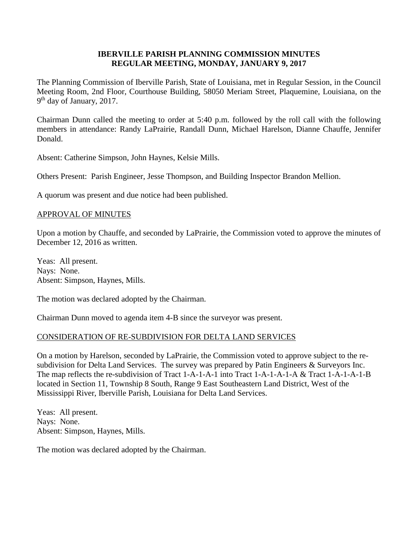# **IBERVILLE PARISH PLANNING COMMISSION MINUTES REGULAR MEETING, MONDAY, JANUARY 9, 2017**

The Planning Commission of Iberville Parish, State of Louisiana, met in Regular Session, in the Council Meeting Room, 2nd Floor, Courthouse Building, 58050 Meriam Street, Plaquemine, Louisiana, on the 9<sup>th</sup> day of January, 2017.

Chairman Dunn called the meeting to order at 5:40 p.m. followed by the roll call with the following members in attendance: Randy LaPrairie, Randall Dunn, Michael Harelson, Dianne Chauffe, Jennifer Donald.

Absent: Catherine Simpson, John Haynes, Kelsie Mills.

Others Present: Parish Engineer, Jesse Thompson, and Building Inspector Brandon Mellion.

A quorum was present and due notice had been published.

# APPROVAL OF MINUTES

Upon a motion by Chauffe, and seconded by LaPrairie, the Commission voted to approve the minutes of December 12, 2016 as written.

Yeas: All present. Nays: None. Absent: Simpson, Haynes, Mills.

The motion was declared adopted by the Chairman.

Chairman Dunn moved to agenda item 4-B since the surveyor was present.

# CONSIDERATION OF RE-SUBDIVISION FOR DELTA LAND SERVICES

On a motion by Harelson, seconded by LaPrairie, the Commission voted to approve subject to the resubdivision for Delta Land Services. The survey was prepared by Patin Engineers & Surveyors Inc. The map reflects the re-subdivision of Tract 1-A-1-A-1 into Tract 1-A-1-A-1-A & Tract 1-A-1-A-1-B located in Section 11, Township 8 South, Range 9 East Southeastern Land District, West of the Mississippi River, Iberville Parish, Louisiana for Delta Land Services.

Yeas: All present. Nays: None. Absent: Simpson, Haynes, Mills.

The motion was declared adopted by the Chairman.